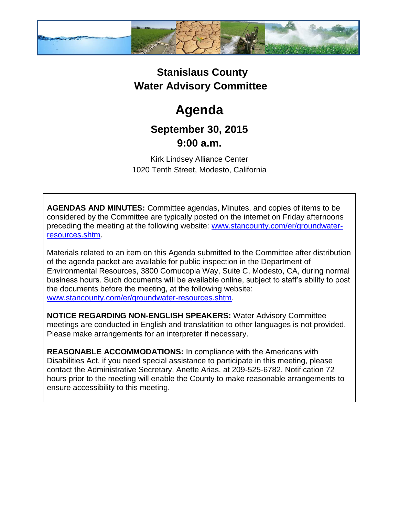

## **Stanislaus County Water Advisory Committee**

# **Agenda**

### **September 30, 2015 9:00 a.m.**

Kirk Lindsey Alliance Center 1020 Tenth Street, Modesto, California

**AGENDAS AND MINUTES:** Committee agendas, Minutes, and copies of items to be considered by the Committee are typically posted on the internet on Friday afternoons preceding the meeting at the following website: [www.stancounty.com/er/groundwater](http://www.stancounty.com/er/groundwater-resources.shtm)[resources.shtm.](http://www.stancounty.com/er/groundwater-resources.shtm)

Materials related to an item on this Agenda submitted to the Committee after distribution of the agenda packet are available for public inspection in the Department of Environmental Resources, 3800 Cornucopia Way, Suite C, Modesto, CA, during normal business hours. Such documents will be available online, subject to staff's ability to post the documents before the meeting, at the following website: [www.stancounty.com/er/groundwater-resources.shtm.](http://www.stancounty.com/er/groundwater-resources.shtm)

**NOTICE REGARDING NON-ENGLISH SPEAKERS:** Water Advisory Committee meetings are conducted in English and translatition to other languages is not provided. Please make arrangements for an interpreter if necessary.

**REASONABLE ACCOMMODATIONS:** In compliance with the Americans with Disabilities Act, if you need special assistance to participate in this meeting, please contact the Administrative Secretary, Anette Arias, at 209-525-6782. Notification 72 hours prior to the meeting will enable the County to make reasonable arrangements to ensure accessibility to this meeting.